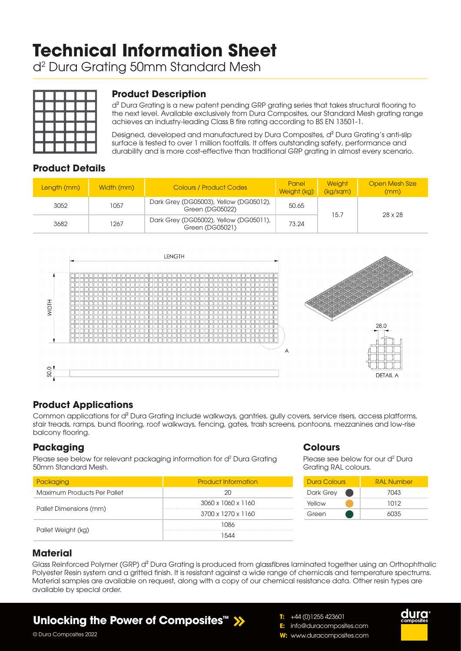# **Technical Information Sheet**

d2 Dura Grating 50mm Standard Mesh



## **Product Description**

d<sup>2</sup> Dura Grating is a new patent pending GRP grating series that takes structural flooring to the next level. Available exclusively from Dura Composites, our Standard Mesh grating range achieves an industry-leading Class B fire rating according to BS EN 13501-1.

Designed, developed and manufactured by Dura Composites, d² Dura Grating's anti-slip surface is tested to over 1 million footfalls. It offers outstanding safety, performance and durability and is more cost-effective than traditional GRP grating in almost every scenario.

## **Product Details**

| Length (mm) | Width (mm) | <b>Colours / Product Codes</b>                            | Panel<br>Weight (kg) | <b>Weight</b><br>(kg/sgm) | Open Mesh Size<br>(mm) |  |
|-------------|------------|-----------------------------------------------------------|----------------------|---------------------------|------------------------|--|
| 3052        | 1057       | Dark Grey (DG05003), Yellow (DG05012),<br>Green (DG05022) | 50.65                | 15.7                      | 28 x 28                |  |
| 3682        | 1267       | Dark Grey (DG05002), Yellow (DG05011),<br>Green (DG05021) | 73.24                |                           |                        |  |



## **Product Applications**

Common applications for d² Dura Grating include walkways, gantries, gully covers, service risers, access platforms, stair treads, ramps, bund flooring, roof walkways, fencing, gates, trash screens, pontoons, mezzanines and low-rise balcony flooring.

## **Packaging**

Please see below for relevant packaging information for d<sup>2</sup> Dura Grating 50mm Standard Mesh.

| Packaging                   | <b>Product Information</b> |  |  |
|-----------------------------|----------------------------|--|--|
| Maximum Products Per Pallet | 20                         |  |  |
|                             | 3060 x 1060 x 1160         |  |  |
| Pallet Dimensions (mm)      | 3700 x 1270 x 1160         |  |  |
|                             | 1086                       |  |  |
| Pallet Weight (kg)          | 1544                       |  |  |

#### **Colours**

Please see below for our d<sup>2</sup> Dura Grating RAL colours.

| Dura Colours | <b>RAL Number</b> |  |  |  |
|--------------|-------------------|--|--|--|
| Dark Grey    | 7043              |  |  |  |
| Yellow       | 1012              |  |  |  |
| Green        | 6035              |  |  |  |

duro

## **Material**

Glass Reinforced Polymer (GRP) d<sup>2</sup> Dura Grating is produced from glassfibres laminated together using an Orthophthalic Polyester Resin system and a gritted finish. It is resistant against a wide range of chemicals and temperature spectrums. Material samples are available on request, along with a copy of our chemical resistance data. Other resin types are available by special order.

# **Unlocking the Power of Composites™**

- **T:** +44 (0)1255 423601 **E:** info@duracomposites.com
- **W:** www.duracomposites.com